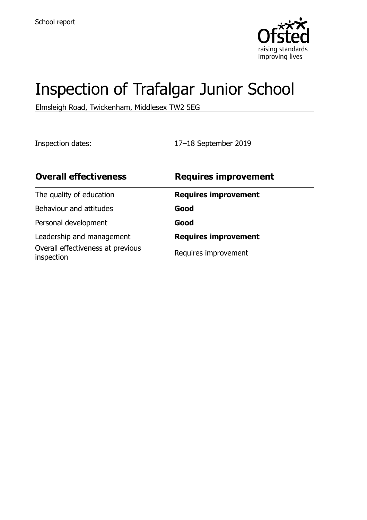

# Inspection of Trafalgar Junior School

Elmsleigh Road, Twickenham, Middlesex TW2 5EG

Inspection dates: 17–18 September 2019

| <b>Overall effectiveness</b>                    | <b>Requires improvement</b> |
|-------------------------------------------------|-----------------------------|
| The quality of education                        | <b>Requires improvement</b> |
| Behaviour and attitudes                         | Good                        |
| Personal development                            | Good                        |
| Leadership and management                       | <b>Requires improvement</b> |
| Overall effectiveness at previous<br>inspection | Requires improvement        |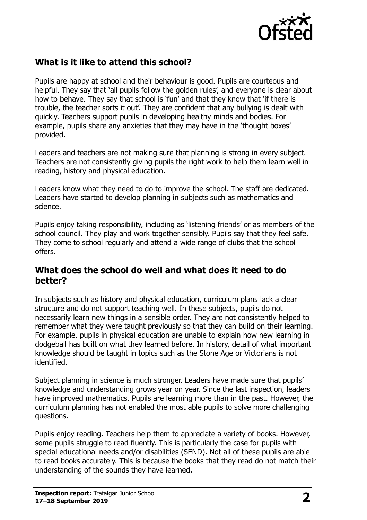

# **What is it like to attend this school?**

Pupils are happy at school and their behaviour is good. Pupils are courteous and helpful. They say that 'all pupils follow the golden rules', and everyone is clear about how to behave. They say that school is 'fun' and that they know that 'if there is trouble, the teacher sorts it out'. They are confident that any bullying is dealt with quickly. Teachers support pupils in developing healthy minds and bodies. For example, pupils share any anxieties that they may have in the 'thought boxes' provided.

Leaders and teachers are not making sure that planning is strong in every subject. Teachers are not consistently giving pupils the right work to help them learn well in reading, history and physical education.

Leaders know what they need to do to improve the school. The staff are dedicated. Leaders have started to develop planning in subjects such as mathematics and science.

Pupils enjoy taking responsibility, including as 'listening friends' or as members of the school council. They play and work together sensibly. Pupils say that they feel safe. They come to school regularly and attend a wide range of clubs that the school offers.

#### **What does the school do well and what does it need to do better?**

In subjects such as history and physical education, curriculum plans lack a clear structure and do not support teaching well. In these subjects, pupils do not necessarily learn new things in a sensible order. They are not consistently helped to remember what they were taught previously so that they can build on their learning. For example, pupils in physical education are unable to explain how new learning in dodgeball has built on what they learned before. In history, detail of what important knowledge should be taught in topics such as the Stone Age or Victorians is not identified.

Subject planning in science is much stronger. Leaders have made sure that pupils' knowledge and understanding grows year on year. Since the last inspection, leaders have improved mathematics. Pupils are learning more than in the past. However, the curriculum planning has not enabled the most able pupils to solve more challenging questions.

Pupils enjoy reading. Teachers help them to appreciate a variety of books. However, some pupils struggle to read fluently. This is particularly the case for pupils with special educational needs and/or disabilities (SEND). Not all of these pupils are able to read books accurately. This is because the books that they read do not match their understanding of the sounds they have learned.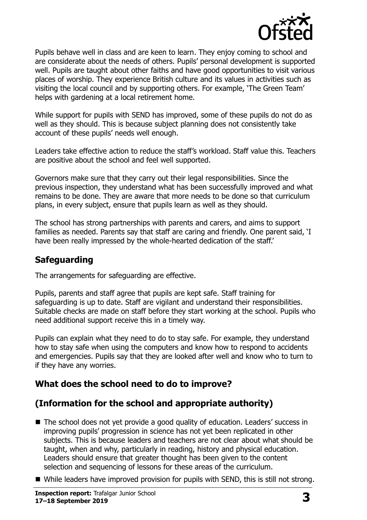

Pupils behave well in class and are keen to learn. They enjoy coming to school and are considerate about the needs of others. Pupils' personal development is supported well. Pupils are taught about other faiths and have good opportunities to visit various places of worship. They experience British culture and its values in activities such as visiting the local council and by supporting others. For example, 'The Green Team' helps with gardening at a local retirement home.

While support for pupils with SEND has improved, some of these pupils do not do as well as they should. This is because subject planning does not consistently take account of these pupils' needs well enough.

Leaders take effective action to reduce the staff's workload. Staff value this. Teachers are positive about the school and feel well supported.

Governors make sure that they carry out their legal responsibilities. Since the previous inspection, they understand what has been successfully improved and what remains to be done. They are aware that more needs to be done so that curriculum plans, in every subject, ensure that pupils learn as well as they should.

The school has strong partnerships with parents and carers, and aims to support families as needed. Parents say that staff are caring and friendly. One parent said, 'I have been really impressed by the whole-hearted dedication of the staff.'

# **Safeguarding**

The arrangements for safeguarding are effective.

Pupils, parents and staff agree that pupils are kept safe. Staff training for safeguarding is up to date. Staff are vigilant and understand their responsibilities. Suitable checks are made on staff before they start working at the school. Pupils who need additional support receive this in a timely way.

Pupils can explain what they need to do to stay safe. For example, they understand how to stay safe when using the computers and know how to respond to accidents and emergencies. Pupils say that they are looked after well and know who to turn to if they have any worries.

# **What does the school need to do to improve?**

# **(Information for the school and appropriate authority)**

- The school does not yet provide a good quality of education. Leaders' success in improving pupils' progression in science has not yet been replicated in other subjects. This is because leaders and teachers are not clear about what should be taught, when and why, particularly in reading, history and physical education. Leaders should ensure that greater thought has been given to the content selection and sequencing of lessons for these areas of the curriculum.
- While leaders have improved provision for pupils with SEND, this is still not strong.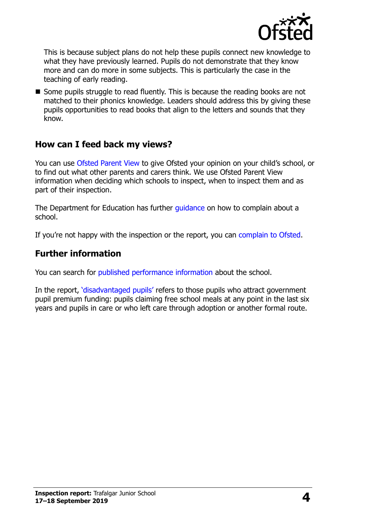

This is because subject plans do not help these pupils connect new knowledge to what they have previously learned. Pupils do not demonstrate that they know more and can do more in some subjects. This is particularly the case in the teaching of early reading.

 $\blacksquare$  Some pupils struggle to read fluently. This is because the reading books are not matched to their phonics knowledge. Leaders should address this by giving these pupils opportunities to read books that align to the letters and sounds that they know.

#### **How can I feed back my views?**

You can use [Ofsted Parent View](http://parentview.ofsted.gov.uk/) to give Ofsted your opinion on your child's school, or to find out what other parents and carers think. We use Ofsted Parent View information when deciding which schools to inspect, when to inspect them and as part of their inspection.

The Department for Education has further quidance on how to complain about a school.

If you're not happy with the inspection or the report, you can [complain to Ofsted.](http://www.gov.uk/complain-ofsted-report)

#### **Further information**

You can search for [published performance information](http://www.compare-school-performance.service.gov.uk/) about the school.

In the report, '[disadvantaged pupils](http://www.gov.uk/guidance/pupil-premium-information-for-schools-and-alternative-provision-settings)' refers to those pupils who attract government pupil premium funding: pupils claiming free school meals at any point in the last six years and pupils in care or who left care through adoption or another formal route.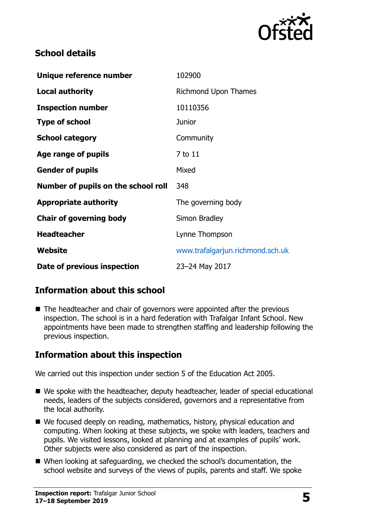

## **School details**

| Unique reference number             | 102900                           |
|-------------------------------------|----------------------------------|
| <b>Local authority</b>              | <b>Richmond Upon Thames</b>      |
| <b>Inspection number</b>            | 10110356                         |
| <b>Type of school</b>               | <b>Junior</b>                    |
| <b>School category</b>              | Community                        |
| Age range of pupils                 | 7 to 11                          |
| <b>Gender of pupils</b>             | Mixed                            |
| Number of pupils on the school roll | 348                              |
| <b>Appropriate authority</b>        | The governing body               |
| <b>Chair of governing body</b>      | Simon Bradley                    |
| <b>Headteacher</b>                  | Lynne Thompson                   |
| Website                             | www.trafalgarjun.richmond.sch.uk |
| Date of previous inspection         | 23-24 May 2017                   |

# **Information about this school**

■ The headteacher and chair of governors were appointed after the previous inspection. The school is in a hard federation with Trafalgar Infant School. New appointments have been made to strengthen staffing and leadership following the previous inspection.

# **Information about this inspection**

We carried out this inspection under section 5 of the Education Act 2005.

- We spoke with the headteacher, deputy headteacher, leader of special educational needs, leaders of the subjects considered, governors and a representative from the local authority.
- We focused deeply on reading, mathematics, history, physical education and computing. When looking at these subjects, we spoke with leaders, teachers and pupils. We visited lessons, looked at planning and at examples of pupils' work. Other subjects were also considered as part of the inspection.
- When looking at safeguarding, we checked the school's documentation, the school website and surveys of the views of pupils, parents and staff. We spoke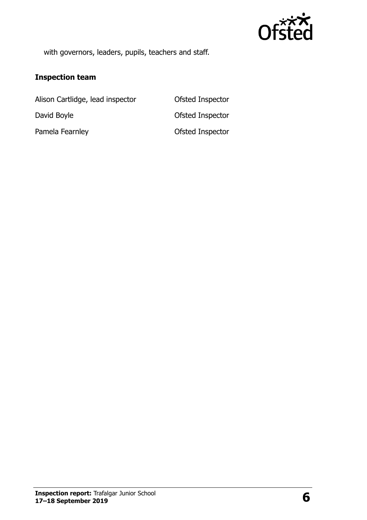

with governors, leaders, pupils, teachers and staff.

#### **Inspection team**

Alison Cartlidge, lead inspector **Ofsted Inspector** David Boyle **David Boyle David Boyle Ofsted Inspector** Pamela Fearnley **District Contact Contact Contact Contact Contact Contact Contact Contact Contact Contact Contact Contact Contact Contact Contact Contact Contact Contact Contact Contact Contact Contact Contact Contact Cont**